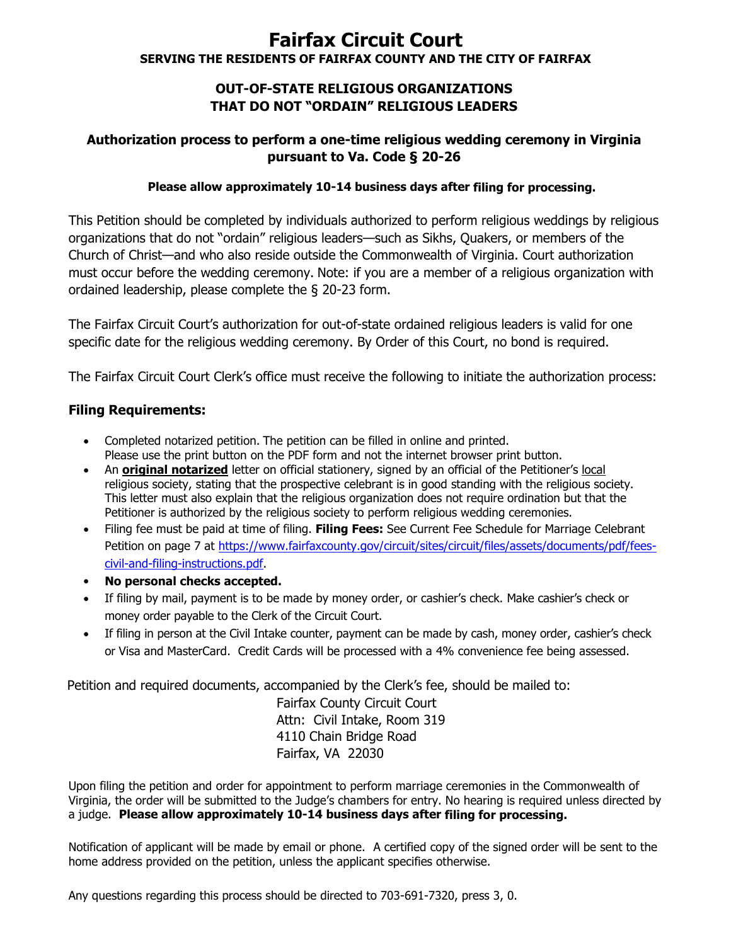# **Fairfax Circuit Court SERVING THE RESIDENTS OF FAIRFAX COUNTY AND THE CITY OF FAIRFAX**

### **OUT-OF-STATE RELIGIOUS ORGANIZATIONS THAT DO NOT "ORDAIN" RELIGIOUS LEADERS**

# **Authorization process to perform a one-time religious wedding ceremony in Virginia pursuant to Va. Code § 20-26**

#### **Please allow approximately 10-14 business days after filing for processing.**

This Petition should be completed by individuals authorized to perform religious weddings by religious organizations that do not "ordain" religious leaders—such as Sikhs, Quakers, or members of the Church of Christ—and who also reside outside the Commonwealth of Virginia. Court authorization must occur before the wedding ceremony. Note: if you are a member of a religious organization with ordained leadership, please complete the § 20-23 form.

The Fairfax Circuit Court's authorization for out-of-state ordained religious leaders is valid for one specific date for the religious wedding ceremony. By Order of this Court, no bond is required.

The Fairfax Circuit Court Clerk's office must receive the following to initiate the authorization process:

### **Filing Requirements:**

- Completed notarized petition. The petition can be filled in online and printed. Please use the print button on the PDF form and not the internet browser print button.
- An **original notarized** letter on official stationery, signed by an official of the Petitioner's local religious society, stating that the prospective celebrant is in good standing with the religious society. This letter must also explain that the religious organization does not require ordination but that the Petitioner is authorized by the religious society to perform religious wedding ceremonies.
- Filing fee must be paid at time of filing. **Filing Fees:** See Current Fee Schedule for Marriage Celebrant Petition on page 7 at [https://www.fairfaxcounty.gov/circuit/sites/circuit/files/assets/documents/pdf/fees](https://www.fairfaxcounty.gov/circuit/sites/circuit/files/assets/documents/pdf/fees-civil-and-filing-instructions.pdf)[civil-and-filing-instructions.pdf.](https://www.fairfaxcounty.gov/circuit/sites/circuit/files/assets/documents/pdf/fees-civil-and-filing-instructions.pdf)
- **No personal checks accepted.**
- If filing by mail, payment is to be made by money order, or cashier's check. Make cashier's check or money order payable to the Clerk of the Circuit Court.
- If filing in person at the Civil Intake counter, payment can be made by cash, money order, cashier's check or Visa and MasterCard. Credit Cards will be processed with a 4% convenience fee being assessed.

Petition and required documents, accompanied by the Clerk's fee, should be mailed to:

Fairfax County Circuit Court Attn: Civil Intake, Room 319 4110 Chain Bridge Road Fairfax, VA 22030

Upon filing the petition and order for appointment to perform marriage ceremonies in the Commonwealth of Virginia, the order will be submitted to the Judge's chambers for entry. No hearing is required unless directed by a judge. **Please allow approximately 10-14 business days after filing for processing.**

Notification of applicant will be made by email or phone. A certified copy of the signed order will be sent to the home address provided on the petition, unless the applicant specifies otherwise.

Any questions regarding this process should be directed to 703-691-7320, press 3, 0.